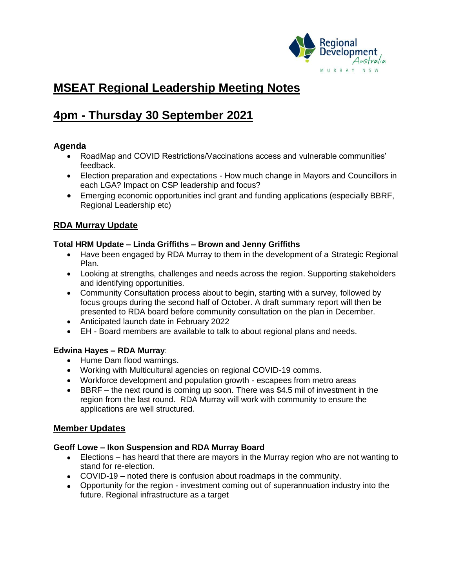

# **MSEAT Regional Leadership Meeting Notes**

# **4pm - Thursday 30 September 2021**

# **Agenda**

- RoadMap and COVID Restrictions/Vaccinations access and vulnerable communities' feedback.
- Election preparation and expectations How much change in Mayors and Councillors in each LGA? Impact on CSP leadership and focus?
- Emerging economic opportunities incl grant and funding applications (especially BBRF, Regional Leadership etc)

# **RDA Murray Update**

# **Total HRM Update – Linda Griffiths – Brown and Jenny Griffiths**

- Have been engaged by RDA Murray to them in the development of a Strategic Regional Plan.
- Looking at strengths, challenges and needs across the region. Supporting stakeholders and identifying opportunities.
- Community Consultation process about to begin, starting with a survey, followed by focus groups during the second half of October. A draft summary report will then be presented to RDA board before community consultation on the plan in December.
- Anticipated launch date in February 2022
- EH Board members are available to talk to about regional plans and needs.

# **Edwina Hayes – RDA Murray**:

- Hume Dam flood warnings.
- Working with Multicultural agencies on regional COVID-19 comms.
- Workforce development and population growth escapees from metro areas
- BBRF the next round is coming up soon. There was \$4.5 mil of investment in the region from the last round. RDA Murray will work with community to ensure the applications are well structured.

# **Member Updates**

# **Geoff Lowe – Ikon Suspension and RDA Murray Board**

- Elections has heard that there are mayors in the Murray region who are not wanting to stand for re-election.
- COVID-19 noted there is confusion about roadmaps in the community.
- Opportunity for the region investment coming out of superannuation industry into the future. Regional infrastructure as a target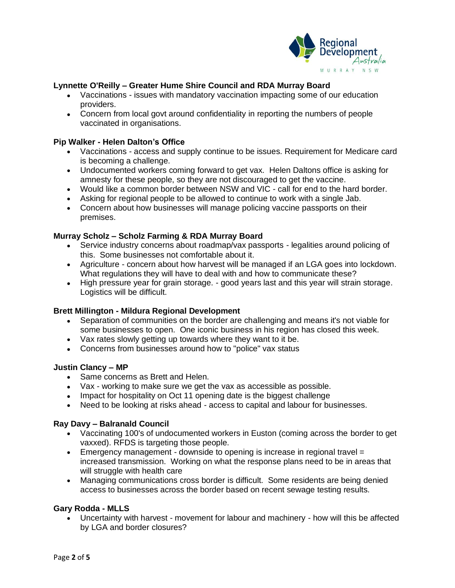

# **Lynnette O'Reilly – Greater Hume Shire Council and RDA Murray Board**

- Vaccinations issues with mandatory vaccination impacting some of our education providers.
- Concern from local govt around confidentiality in reporting the numbers of people vaccinated in organisations.

## **Pip Walker - Helen Dalton's Office**

- Vaccinations access and supply continue to be issues. Requirement for Medicare card is becoming a challenge.
- Undocumented workers coming forward to get vax. Helen Daltons office is asking for amnesty for these people, so they are not discouraged to get the vaccine.
- Would like a common border between NSW and VIC call for end to the hard border.
- Asking for regional people to be allowed to continue to work with a single Jab.
- Concern about how businesses will manage policing vaccine passports on their premises.

# **Murray Scholz – Scholz Farming & RDA Murray Board**

- Service industry concerns about roadmap/vax passports legalities around policing of this. Some businesses not comfortable about it.
- Agriculture concern about how harvest will be managed if an LGA goes into lockdown. What regulations they will have to deal with and how to communicate these?
- High pressure year for grain storage. good years last and this year will strain storage. Logistics will be difficult.

## **Brett Millington - Mildura Regional Development**

- Separation of communities on the border are challenging and means it's not viable for some businesses to open. One iconic business in his region has closed this week.
- Vax rates slowly getting up towards where they want to it be.
- Concerns from businesses around how to "police" vax status

## **Justin Clancy – MP**

- Same concerns as Brett and Helen.
- Vax working to make sure we get the vax as accessible as possible.
- Impact for hospitality on Oct 11 opening date is the biggest challenge
- Need to be looking at risks ahead access to capital and labour for businesses.

## **Ray Davy – Balranald Council**

- Vaccinating 100's of undocumented workers in Euston (coming across the border to get vaxxed). RFDS is targeting those people.
- Emergency management downside to opening is increase in regional travel  $=$ increased transmission. Working on what the response plans need to be in areas that will struggle with health care
- Managing communications cross border is difficult. Some residents are being denied access to businesses across the border based on recent sewage testing results.

## **Gary Rodda - MLLS**

• Uncertainty with harvest - movement for labour and machinery - how will this be affected by LGA and border closures?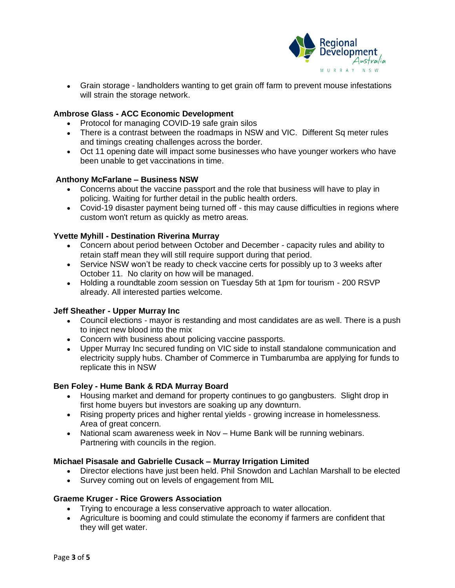

• Grain storage - landholders wanting to get grain off farm to prevent mouse infestations will strain the storage network.

# **Ambrose Glass - ACC Economic Development**

- Protocol for managing COVID-19 safe grain silos
- There is a contrast between the roadmaps in NSW and VIC. Different Sq meter rules and timings creating challenges across the border.
- Oct 11 opening date will impact some businesses who have younger workers who have been unable to get vaccinations in time.

# **Anthony McFarlane – Business NSW**

- Concerns about the vaccine passport and the role that business will have to play in policing. Waiting for further detail in the public health orders.
- Covid-19 disaster payment being turned off this may cause difficulties in regions where custom won't return as quickly as metro areas.

# **Yvette Myhill - Destination Riverina Murray**

- Concern about period between October and December capacity rules and ability to retain staff mean they will still require support during that period.
- Service NSW won't be ready to check vaccine certs for possibly up to 3 weeks after October 11. No clarity on how will be managed.
- Holding a roundtable zoom session on Tuesday 5th at 1pm for tourism 200 RSVP already. All interested parties welcome.

## **Jeff Sheather - Upper Murray Inc**

- Council elections mayor is restanding and most candidates are as well. There is a push to inject new blood into the mix
- Concern with business about policing vaccine passports.
- Upper Murray Inc secured funding on VIC side to install standalone communication and electricity supply hubs. Chamber of Commerce in Tumbarumba are applying for funds to replicate this in NSW

## **Ben Foley - Hume Bank & RDA Murray Board**

- Housing market and demand for property continues to go gangbusters. Slight drop in first home buyers but investors are soaking up any downturn.
- Rising property prices and higher rental yields growing increase in homelessness. Area of great concern.
- National scam awareness week in Nov Hume Bank will be running webinars. Partnering with councils in the region.

# **Michael Pisasale and Gabrielle Cusack – Murray Irrigation Limited**

- Director elections have just been held. Phil Snowdon and Lachlan Marshall to be elected
- Survey coming out on levels of engagement from MIL

## **Graeme Kruger - Rice Growers Association**

- Trying to encourage a less conservative approach to water allocation.
- Agriculture is booming and could stimulate the economy if farmers are confident that they will get water.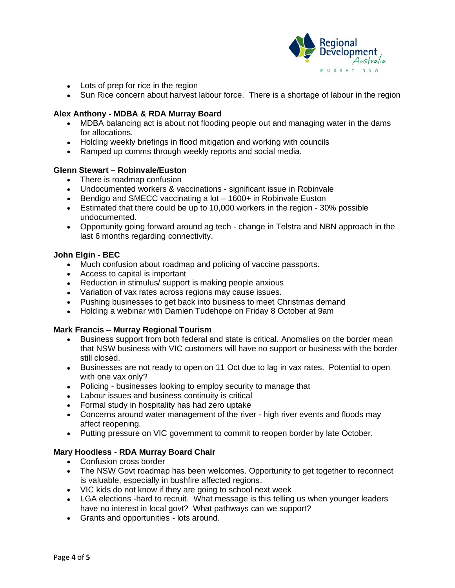

- Lots of prep for rice in the region
- Sun Rice concern about harvest labour force. There is a shortage of labour in the region

## **Alex Anthony - MDBA & RDA Murray Board**

- MDBA balancing act is about not flooding people out and managing water in the dams for allocations.
- Holding weekly briefings in flood mitigation and working with councils
- Ramped up comms through weekly reports and social media.

## **Glenn Stewart – Robinvale/Euston**

- There is roadmap confusion
- Undocumented workers & vaccinations significant issue in Robinvale
- Bendigo and SMECC vaccinating a lot 1600+ in Robinvale Euston
- Estimated that there could be up to 10,000 workers in the region 30% possible undocumented.
- Opportunity going forward around ag tech change in Telstra and NBN approach in the last 6 months regarding connectivity.

## **John Elgin - BEC**

- Much confusion about roadmap and policing of vaccine passports.
- Access to capital is important
- Reduction in stimulus/ support is making people anxious
- Variation of vax rates across regions may cause issues.
- Pushing businesses to get back into business to meet Christmas demand
- Holding a webinar with Damien Tudehope on Friday 8 October at 9am

## **Mark Francis – Murray Regional Tourism**

- Business support from both federal and state is critical. Anomalies on the border mean that NSW business with VIC customers will have no support or business with the border still closed.
- Businesses are not ready to open on 11 Oct due to lag in vax rates. Potential to open with one vax only?
- Policing businesses looking to employ security to manage that
- Labour issues and business continuity is critical
- Formal study in hospitality has had zero uptake
- Concerns around water management of the river high river events and floods may affect reopening.
- Putting pressure on VIC government to commit to reopen border by late October.

## **Mary Hoodless - RDA Murray Board Chair**

- Confusion cross border
- The NSW Govt roadmap has been welcomes. Opportunity to get together to reconnect is valuable, especially in bushfire affected regions.
- VIC kids do not know if they are going to school next week
- LGA elections -hard to recruit. What message is this telling us when younger leaders have no interest in local govt? What pathways can we support?
- Grants and opportunities lots around.